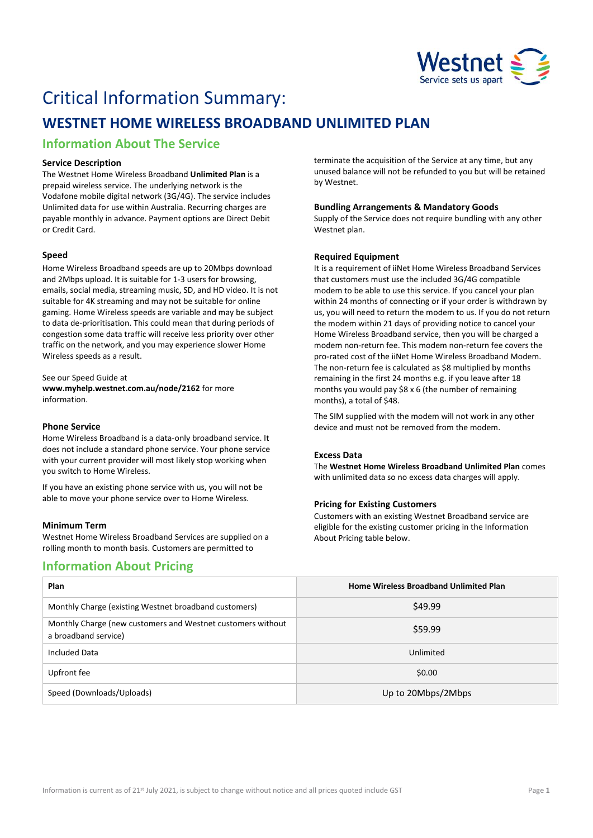

# Critical Information Summary:

## **WESTNET HOME WIRELESS BROADBAND UNLIMITED PLAN**

## **Information About The Service**

#### **Service Description**

The Westnet Home Wireless Broadband **Unlimited Plan** is a prepaid wireless service. The underlying network is the Vodafone mobile digital network (3G/4G). The service includes Unlimited data for use within Australia. Recurring charges are payable monthly in advance. Payment options are Direct Debit or Credit Card.

#### **Speed**

Home Wireless Broadband speeds are up to 20Mbps download and 2Mbps upload. It is suitable for 1-3 users for browsing, emails, social media, streaming music, SD, and HD video. It is not suitable for 4K streaming and may not be suitable for online gaming. Home Wireless speeds are variable and may be subject to data de-prioritisation. This could mean that during periods of congestion some data traffic will receive less priority over other traffic on the network, and you may experience slower Home Wireless speeds as a result.

See our Speed Guide at **[www.myhelp.westnet.com.au/node/2162](http://www.myhelp.westnet.com.au/node/2162)** for more information.

#### **Phone Service**

Home Wireless Broadband is a data-only broadband service. It does not include a standard phone service. Your phone service with your current provider will most likely stop working when you switch to Home Wireless.

If you have an existing phone service with us, you will not be able to move your phone service over to Home Wireless.

#### **Minimum Term**

Westnet Home Wireless Broadband Services are supplied on a rolling month to month basis. Customers are permitted to

### **Information About Pricing**

terminate the acquisition of the Service at any time, but any unused balance will not be refunded to you but will be retained by Westnet.

#### **Bundling Arrangements & Mandatory Goods**

Supply of the Service does not require bundling with any other Westnet plan.

#### **Required Equipment**

It is a requirement of iiNet Home Wireless Broadband Services that customers must use the included 3G/4G compatible modem to be able to use this service. If you cancel your plan within 24 months of connecting or if your order is withdrawn by us, you will need to return the modem to us. If you do not return the modem within 21 days of providing notice to cancel your Home Wireless Broadband service, then you will be charged a modem non-return fee. This modem non-return fee covers the pro-rated cost of the iiNet Home Wireless Broadband Modem. The non-return fee is calculated as \$8 multiplied by months remaining in the first 24 months e.g. if you leave after 18 months you would pay \$8 x 6 (the number of remaining months), a total of \$48.

The SIM supplied with the modem will not work in any other device and must not be removed from the modem.

#### **Excess Data**

The **Westnet Home Wireless Broadband Unlimited Plan** comes with unlimited data so no excess data charges will apply.

#### **Pricing for Existing Customers**

Customers with an existing Westnet Broadband service are eligible for the existing customer pricing in the Information About Pricing table below.

| Plan                                                                                | <b>Home Wireless Broadband Unlimited Plan</b> |
|-------------------------------------------------------------------------------------|-----------------------------------------------|
| Monthly Charge (existing Westnet broadband customers)                               | \$49.99                                       |
| Monthly Charge (new customers and Westnet customers without<br>a broadband service) | \$59.99                                       |
| Included Data                                                                       | Unlimited                                     |
| Upfront fee                                                                         | \$0.00                                        |
| Speed (Downloads/Uploads)                                                           | Up to 20Mbps/2Mbps                            |